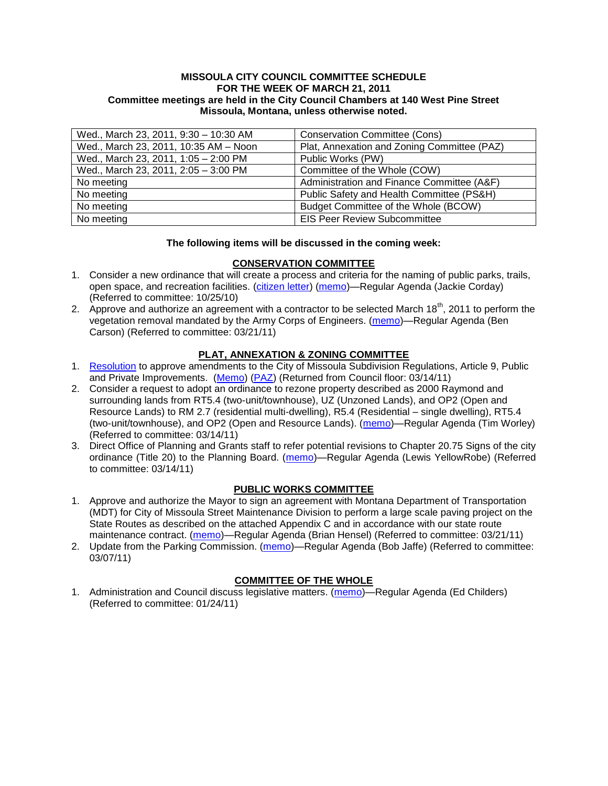#### **MISSOULA CITY COUNCIL COMMITTEE SCHEDULE FOR THE WEEK OF MARCH 21, 2011 Committee meetings are held in the City Council Chambers at 140 West Pine Street Missoula, Montana, unless otherwise noted.**

| Wed., March 23, 2011, 9:30 - 10:30 AM | <b>Conservation Committee (Cons)</b>        |
|---------------------------------------|---------------------------------------------|
| Wed., March 23, 2011, 10:35 AM - Noon | Plat, Annexation and Zoning Committee (PAZ) |
| Wed., March 23, 2011, 1:05 - 2:00 PM  | Public Works (PW)                           |
| Wed., March 23, 2011, 2:05 - 3:00 PM  | Committee of the Whole (COW)                |
| No meeting                            | Administration and Finance Committee (A&F)  |
| No meeting                            | Public Safety and Health Committee (PS&H)   |
| No meeting                            | Budget Committee of the Whole (BCOW)        |
| No meeting                            | <b>EIS Peer Review Subcommittee</b>         |

#### **The following items will be discussed in the coming week:**

# **CONSERVATION COMMITTEE**

- 1. Consider a new ordinance that will create a process and criteria for the naming of public parks, trails, open space, and recreation facilities. [\(citizen letter\)](http://www.ci.missoula.mt.us/DocumentView.aspx?DID=5753) [\(memo\)](http://www.ci.missoula.mt.us/DocumentView.aspx?DID=4848)—Regular Agenda (Jackie Corday) (Referred to committee: 10/25/10)
- 2. Approve and authorize an agreement with a contractor to be selected March 18<sup>th</sup>, 2011 to perform the vegetation removal mandated by the Army Corps of Engineers. [\(memo\)](http://www.ci.missoula.mt.us/DocumentView.aspx?DID=5791)—Regular Agenda (Ben Carson) (Referred to committee: 03/21/11)

# **PLAT, ANNEXATION & ZONING COMMITTEE**

- 1. [Resolution](http://www.ci.missoula.mt.us/DocumentView.aspx?DID=5689) to approve amendments to the City of Missoula Subdivision Regulations, Article 9, Public and Private Improvements. [\(Memo\)](http://www.ci.missoula.mt.us/DocumentView.aspx?DID=5550) [\(PAZ\)](http://www.ci.missoula.mt.us/Archive.aspx?ADID=3647) (Returned from Council floor: 03/14/11)
- 2. Consider a request to adopt an ordinance to rezone property described as 2000 Raymond and surrounding lands from RT5.4 (two-unit/townhouse), UZ (Unzoned Lands), and OP2 (Open and Resource Lands) to RM 2.7 (residential multi-dwelling), R5.4 (Residential – single dwelling), RT5.4 (two-unit/townhouse), and OP2 (Open and Resource Lands). [\(memo\)](http://www.ci.missoula.mt.us/DocumentView.aspx?DID=5731)—Regular Agenda (Tim Worley) (Referred to committee: 03/14/11)
- 3. Direct Office of Planning and Grants staff to refer potential revisions to Chapter 20.75 Signs of the city ordinance (Title 20) to the Planning Board. [\(memo\)](http://www.ci.missoula.mt.us/DocumentView.aspx?DID=5793)—Regular Agenda (Lewis YellowRobe) (Referred to committee: 03/14/11)

# **PUBLIC WORKS COMMITTEE**

- 1. Approve and authorize the Mayor to sign an agreement with Montana Department of Transportation (MDT) for City of Missoula Street Maintenance Division to perform a large scale paving project on the State Routes as described on the attached Appendix C and in accordance with our state route maintenance contract. [\(memo\)](http://www.ci.missoula.mt.us/DocumentView.aspx?DID=5790)—Regular Agenda (Brian Hensel) (Referred to committee: 03/21/11)
- 2. Update from the Parking Commission. [\(memo\)](http://www.ci.missoula.mt.us/DocumentView.aspx?DID=5666)—Regular Agenda (Bob Jaffe) (Referred to committee: 03/07/11)

# **COMMITTEE OF THE WHOLE**

1. Administration and Council discuss legislative matters. [\(memo\)](http://www.ci.missoula.mt.us/DocumentView.aspx?DID=5433)—Regular Agenda (Ed Childers) (Referred to committee: 01/24/11)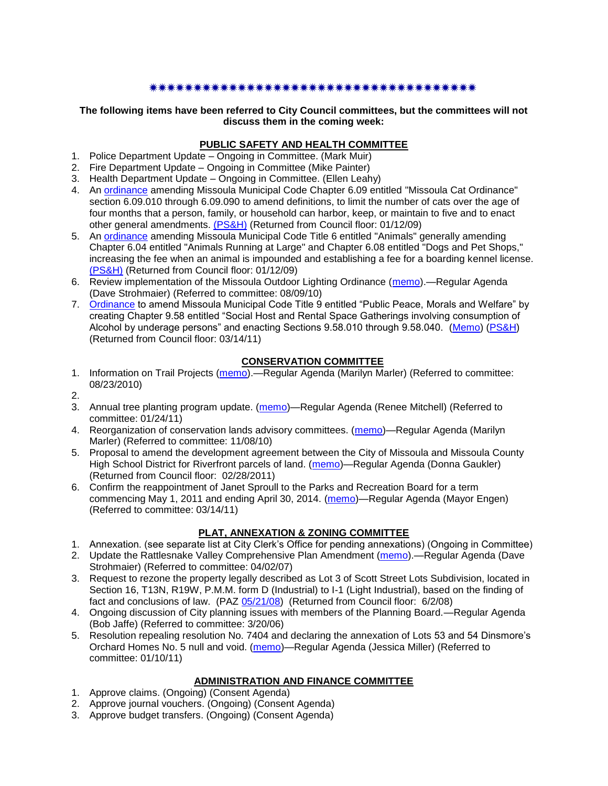# 

**The following items have been referred to City Council committees, but the committees will not discuss them in the coming week:**

#### **PUBLIC SAFETY AND HEALTH COMMITTEE**

- 1. Police Department Update Ongoing in Committee. (Mark Muir)
- 2. Fire Department Update Ongoing in Committee (Mike Painter)
- 3. Health Department Update Ongoing in Committee. (Ellen Leahy)
- 4. An [ordinance](ftp://ftp.ci.missoula.mt.us/Packets/Council/2008/2008-12-15/2008CatOrdinanceAmendment%5B1%5D.pdf) amending Missoula Municipal Code Chapter 6.09 entitled "Missoula Cat Ordinance" section 6.09.010 through 6.09.090 to amend definitions, to limit the number of cats over the age of four months that a person, family, or household can harbor, keep, or maintain to five and to enact other general amendments. [\(PS&H\)](ftp://ftp.ci.missoula.mt.us/Packets/Council/2008/2008-12-15/081210psh.pdf) (Returned from Council floor: 01/12/09)
- 5. An [ordinance](ftp://ftp.ci.missoula.mt.us/Packets/Council/2008/2008-12-15/DogOrdinance--PSHrevisions.pdf) amending Missoula Municipal Code Title 6 entitled "Animals" generally amending Chapter 6.04 entitled "Animals Running at Large" and Chapter 6.08 entitled "Dogs and Pet Shops," increasing the fee when an animal is impounded and establishing a fee for a boarding kennel license. [\(PS&H\)](ftp://ftp.ci.missoula.mt.us/Packets/Council/2008/2008-12-15/081210psh.pdf) (Returned from Council floor: 01/12/09)
- 6. Review implementation of the Missoula Outdoor Lighting Ordinance [\(memo\)](http://www.ci.missoula.mt.us/DocumentView.aspx?DID=4420).—Regular Agenda (Dave Strohmaier) (Referred to committee: 08/09/10)
- 7. [Ordinance](http://www.ci.missoula.mt.us/DocumentView.aspx?DID=5133) to amend Missoula Municipal Code Title 9 entitled "Public Peace, Morals and Welfare" by creating Chapter 9.58 entitled "Social Host and Rental Space Gatherings involving consumption of Alcohol by underage persons" and enacting Sections 9.58.010 through 9.58.040. [\(Memo\)](http://www.ci.missoula.mt.us/DocumentView.aspx?DID=5149) [\(PS&H\)](http://www.ci.missoula.mt.us/Archive.aspx?ADID=3550) (Returned from Council floor: 03/14/11)

#### **CONSERVATION COMMITTEE**

- 1. Information on Trail Projects [\(memo\)](http://www.ci.missoula.mt.us/DocumentView.aspx?DID=4477).—Regular Agenda (Marilyn Marler) (Referred to committee: 08/23/2010)
- 2.
- 3. Annual tree planting program update. [\(memo\)](http://www.ci.missoula.mt.us/DocumentView.aspx?DID=5425)—Regular Agenda (Renee Mitchell) (Referred to committee: 01/24/11)
- 4. Reorganization of conservation lands advisory committees. [\(memo\)](http://www.ci.missoula.mt.us/DocumentView.aspx?DID=4957)—Regular Agenda (Marilyn Marler) (Referred to committee: 11/08/10)
- 5. Proposal to amend the development agreement between the City of Missoula and Missoula County High School District for Riverfront parcels of land. [\(memo\)](http://www.ci.missoula.mt.us/DocumentView.aspx?DID=5549)—Regular Agenda (Donna Gaukler) (Returned from Council floor: 02/28/2011)
- 6. Confirm the reappointment of Janet Sproull to the Parks and Recreation Board for a term commencing May 1, 2011 and ending April 30, 2014. [\(memo\)](http://www.ci.missoula.mt.us/DocumentView.aspx?DID=5726)—Regular Agenda (Mayor Engen) (Referred to committee: 03/14/11)

# **PLAT, ANNEXATION & ZONING COMMITTEE**

- 1. Annexation. (see separate list at City Clerk's Office for pending annexations) (Ongoing in Committee)
- 2. Update the Rattlesnake Valley Comprehensive Plan Amendment [\(memo\)](ftp://ftp.ci.missoula.mt.us/Packets/Council/2007/2007-04-02/Referrals/Rattlesnake_Plan_Update_referral.pdf).—Regular Agenda (Dave Strohmaier) (Referred to committee: 04/02/07)
- 3. Request to rezone the property legally described as Lot 3 of Scott Street Lots Subdivision, located in Section 16, T13N, R19W, P.M.M. form D (Industrial) to I-1 (Light Industrial), based on the finding of fact and conclusions of law. (PAZ [05/21/08\)](ftp://ftp.ci.missoula.mt.us/Packets/Council/2008/2008-06-02/080521paz.pdf) (Returned from Council floor: 6/2/08)
- 4. Ongoing discussion of City planning issues with members of the Planning Board.—Regular Agenda (Bob Jaffe) (Referred to committee: 3/20/06)
- 5. Resolution repealing resolution No. 7404 and declaring the annexation of Lots 53 and 54 Dinsmore's Orchard Homes No. 5 null and void. [\(memo\)](http://www.ci.missoula.mt.us/DocumentView.aspx?DID=5349)—Regular Agenda (Jessica Miller) (Referred to committee: 01/10/11)

# **ADMINISTRATION AND FINANCE COMMITTEE**

- 1. Approve claims. (Ongoing) (Consent Agenda)
- 2. Approve journal vouchers. (Ongoing) (Consent Agenda)
- 3. Approve budget transfers. (Ongoing) (Consent Agenda)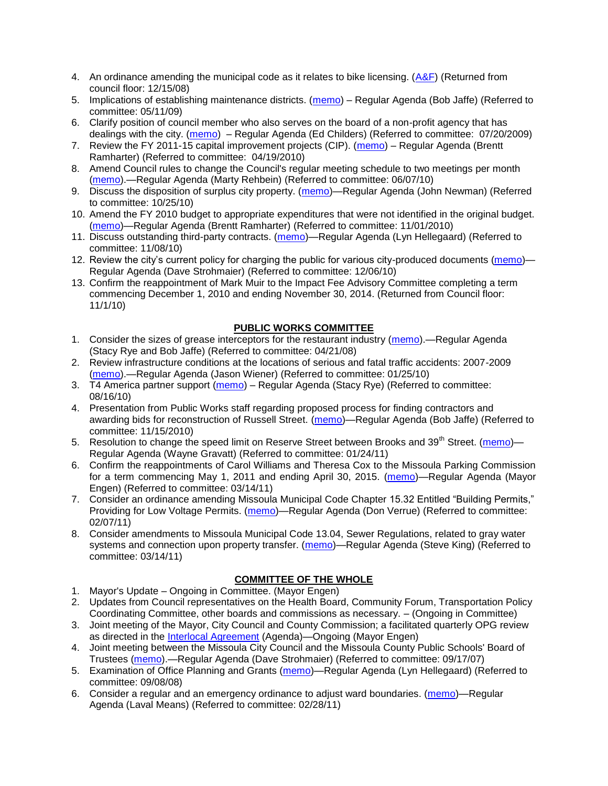- 4. An ordinance amending the municipal code as it relates to bike licensing.  $(A&F)$  (Returned from council floor: 12/15/08)
- 5. Implications of establishing maintenance districts. [\(memo\)](ftp://ftp.ci.missoula.mt.us/Packets/Council/2009/2009-05-11/Referrals/MaintenanceDistricts.pdf) Regular Agenda (Bob Jaffe) (Referred to committee: 05/11/09)
- 6. Clarify position of council member who also serves on the board of a non-profit agency that has dealings with the city. [\(memo\)](http://www.ci.missoula.mt.us/DocumentView.aspx?DID=1840) – Regular Agenda (Ed Childers) (Referred to committee: 07/20/2009)
- 7. Review the FY 2011-15 capital improvement projects (CIP). [\(memo\)](http://www.ci.missoula.mt.us/DocumentView.aspx?DID=3522) Regular Agenda (Brentt Ramharter) (Referred to committee: 04/19/2010)
- 8. Amend Council rules to change the Council's regular meeting schedule to two meetings per month [\(memo\)](http://www.ci.missoula.mt.us/DocumentView.aspx?DID=4027).—Regular Agenda (Marty Rehbein) (Referred to committee: 06/07/10)
- 9. Discuss the disposition of surplus city property. [\(memo\)](http://www.ci.missoula.mt.us/DocumentView.aspx?DID=4862)—Regular Agenda (John Newman) (Referred to committee: 10/25/10)
- 10. Amend the FY 2010 budget to appropriate expenditures that were not identified in the original budget. [\(memo\)](http://www.ci.missoula.mt.us/DocumentView.aspx?DID=4883)—Regular Agenda (Brentt Ramharter) (Referred to committee: 11/01/2010)
- 11. Discuss outstanding third-party contracts. [\(memo\)](http://www.ci.missoula.mt.us/DocumentView.aspx?DID=4956)—Regular Agenda (Lyn Hellegaard) (Referred to committee: 11/08/10)
- 12. Review the city's current policy for charging the public for various city-produced documents [\(memo\)](http://www.ci.missoula.mt.us/DocumentView.aspx?DID=5143) Regular Agenda (Dave Strohmaier) (Referred to committee: 12/06/10)
- 13. Confirm the reappointment of Mark Muir to the Impact Fee Advisory Committee completing a term commencing December 1, 2010 and ending November 30, 2014. (Returned from Council floor: 11/1/10)

# **PUBLIC WORKS COMMITTEE**

- 1. Consider the sizes of grease interceptors for the restaurant industry [\(memo\)](ftp://ftp.ci.missoula.mt.us/Packets/Council/2008/2008-04-21/Referrals/Industrial_waste_restaurants.pdf).—Regular Agenda (Stacy Rye and Bob Jaffe) (Referred to committee: 04/21/08)
- 2. Review infrastructure conditions at the locations of serious and fatal traffic accidents: 2007-2009 [\(memo\)](http://www.ci.missoula.mt.us/DocumentView.aspx?DID=3031).—Regular Agenda (Jason Wiener) (Referred to committee: 01/25/10)
- 3. T4 America partner support [\(memo\)](http://www.ci.missoula.mt.us/DocumentView.aspx?DID=4452) Regular Agenda (Stacy Rye) (Referred to committee: 08/16/10)
- 4. Presentation from Public Works staff regarding proposed process for finding contractors and awarding bids for reconstruction of Russell Street. [\(memo\)](http://www.ci.missoula.mt.us/DocumentView.aspx?DID=5042)—Regular Agenda (Bob Jaffe) (Referred to committee: 11/15/2010)
- 5. Resolution to change the speed limit on Reserve Street between Brooks and 39<sup>th</sup> Street. [\(memo\)](http://www.ci.missoula.mt.us/DocumentView.aspx?DID=5418) Regular Agenda (Wayne Gravatt) (Referred to committee: 01/24/11)
- 6. Confirm the reappointments of Carol Williams and Theresa Cox to the Missoula Parking Commission for a term commencing May 1, 2011 and ending April 30, 2015. [\(memo\)](http://www.ci.missoula.mt.us/DocumentView.aspx?DID=5727)—Regular Agenda (Mayor Engen) (Referred to committee: 03/14/11)
- 7. Consider an ordinance amending Missoula Municipal Code Chapter 15.32 Entitled "Building Permits," Providing for Low Voltage Permits. [\(memo\)](http://www.ci.missoula.mt.us/DocumentView.aspx?DID=5548)—Regular Agenda (Don Verrue) (Referred to committee: 02/07/11)
- 8. Consider amendments to Missoula Municipal Code 13.04, Sewer Regulations, related to gray water systems and connection upon property transfer. [\(memo\)](http://www.ci.missoula.mt.us/DocumentView.aspx?DID=5722)—Regular Agenda (Steve King) (Referred to committee: 03/14/11)

# **COMMITTEE OF THE WHOLE**

- 1. Mayor's Update Ongoing in Committee. (Mayor Engen)
- 2. Updates from Council representatives on the Health Board, Community Forum, Transportation Policy Coordinating Committee, other boards and commissions as necessary. – (Ongoing in Committee)
- 3. Joint meeting of the Mayor, City Council and County Commission; a facilitated quarterly OPG review as directed in the [Interlocal Agreement](ftp://ftp.ci.missoula.mt.us/Documents/Mayor/OPG/Adopted-ILA-2005.pdf) (Agenda)—Ongoing (Mayor Engen)
- 4. Joint meeting between the Missoula City Council and the Missoula County Public Schools' Board of Trustees [\(memo\)](ftp://ftp.ci.missoula.mt.us/Packets/Council/2007/2007-09-17/Referrals/Council_School_Board_referral.pdf).—Regular Agenda (Dave Strohmaier) (Referred to committee: 09/17/07)
- 5. Examination of Office Planning and Grants [\(memo\)](ftp://ftp.ci.missoula.mt.us/Packets/Council/2008/2008-09-08/Referrals/080825HendricksonOPGreferral.pdf)—Regular Agenda (Lyn Hellegaard) (Referred to committee: 09/08/08)
- 6. Consider a regular and an emergency ordinance to adjust ward boundaries. [\(memo\)](http://www.ci.missoula.mt.us/DocumentView.aspx?DID=5641)—Regular Agenda (Laval Means) (Referred to committee: 02/28/11)